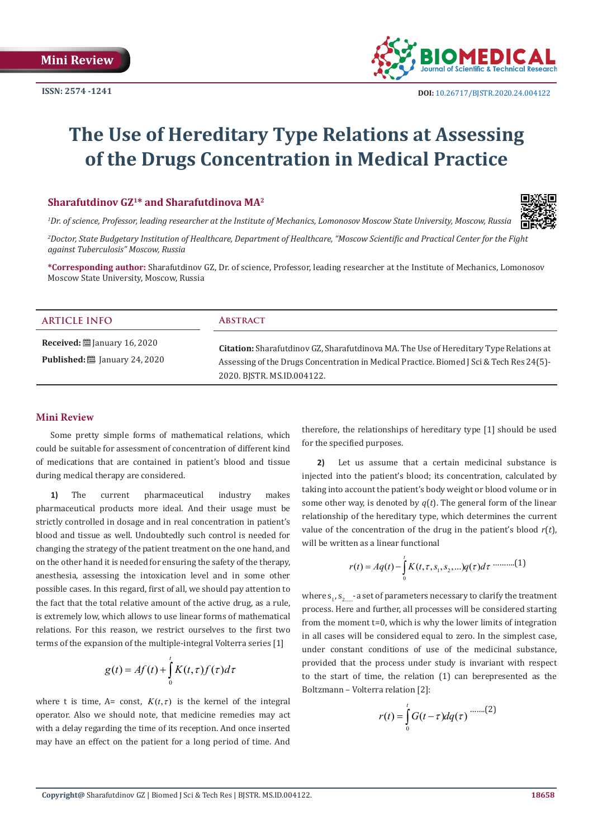

# **The Use of Hereditary Type Relations at Assessing of the Drugs Concentration in Medical Practice**

# **Sharafutdinov GZ1\* and Sharafutdinova MA2**



*1 Dr. of science, Professor, leading researcher at the Institute of Mechanics, Lomonosov Moscow State University, Moscow, Russia*

*2 Doctor, State Budgetary Institution of Healthcare, Department of Healthcare, "Moscow Scientific and Practical Center for the Fight against Tuberculosis" Moscow, Russia*

**\*Corresponding author:** Sharafutdinov GZ, Dr. of science, Professor, leading researcher at the Institute of Mechanics, Lomonosov Moscow State University, Moscow, Russia

| <b>ARTICLE INFO</b>                                                                                | <b>ABSTRACT</b>                                                                                                                                                                                                  |
|----------------------------------------------------------------------------------------------------|------------------------------------------------------------------------------------------------------------------------------------------------------------------------------------------------------------------|
| <b>Received:</b> $\ddot{\mathbf{m}}$ January 16, 2020<br><b>Published:</b> [2015] January 24, 2020 | Citation: Sharafutdinov GZ, Sharafutdinova MA. The Use of Hereditary Type Relations at<br>Assessing of the Drugs Concentration in Medical Practice. Biomed J Sci & Tech Res 24(5)-<br>2020. BISTR. MS.ID.004122. |

### **Mini Review**

Some pretty simple forms of mathematical relations, which could be suitable for assessment of concentration of different kind of medications that are contained in patient's blood and tissue during medical therapy are considered.

**1)** The current pharmaceutical industry makes pharmaceutical products more ideal. And their usage must be strictly controlled in dosage and in real concentration in patient's blood and tissue as well. Undoubtedly such control is needed for changing the strategy of the patient treatment on the one hand, and on the other hand it is needed for ensuring the safety of the therapy, anesthesia, assessing the intoxication level and in some other possible cases. In this regard, first of all, we should pay attention to the fact that the total relative amount of the active drug, as a rule, is extremely low, which allows to use linear forms of mathematical relations. For this reason, we restrict ourselves to the first two terms of the expansion of the multiple-integral Volterra series [1]

$$
g(t) = Af(t) + \int_{0}^{t} K(t, \tau) f(\tau) d\tau
$$

where t is time, A= const,  $K(t, \tau)$  is the kernel of the integral operator. Also we should note, that medicine remedies may act with a delay regarding the time of its reception. And once inserted may have an effect on the patient for a long period of time. And

therefore, the relationships of hereditary type [1] should be used for the specified purposes.

**2)** Let us assume that a certain medicinal substance is injected into the patient's blood; its concentration, calculated by taking into account the patient's body weight or blood volume or in some other way, is denoted by  $q(t)$ . The general form of the linear relationship of the hereditary type, which determines the current value of the concentration of the drug in the patient's blood *r*(*t*), will be written as a linear functional

$$
r(t) = Aq(t) - \int_{0}^{t} K(t, \tau, s_1, s_2, \ldots) q(\tau) d\tau \cdots \cdots \cdots (1)
$$

where  $\mathsf{s}_1$ ,  $\mathsf{s}_{2\text{\tiny{max}}}$ -a set of parameters necessary to clarify the treatment process. Here and further, all processes will be considered starting from the moment t=0, which is why the lower limits of integration in all cases will be considered equal to zero. In the simplest case, under constant conditions of use of the medicinal substance, provided that the process under study is invariant with respect to the start of time, the relation (1) can berepresented as the Boltzmann – Volterra relation [2]:

$$
r(t) = \int_{0}^{t} G(t-\tau)dq(\tau) \dots \dots (2)
$$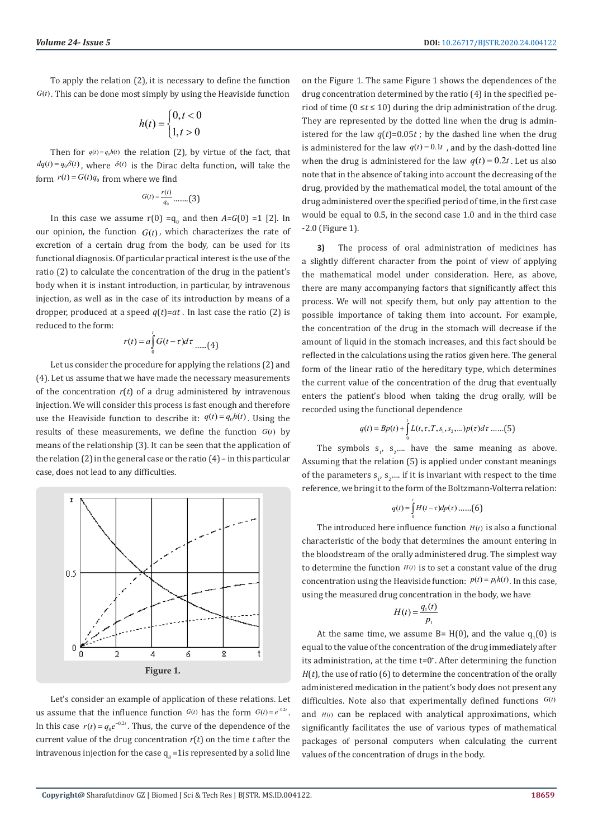To apply the relation (2), it is necessary to define the function  $G(t)$ . This can be done most simply by using the Heaviside function

$$
h(t) = \begin{cases} 0, t < 0 \\ 1, t > 0 \end{cases}
$$

Then for  $q(t) = q_0 h(t)$  the relation (2), by virtue of the fact, that  $dq(t) = q_0 \delta(t)$ , where  $\delta(t)$  is the Dirac delta function, will take the form  $r(t) = G(t)q_0$  from where we find

$$
G(t) = \frac{r(t)}{q_0} \dots \dots \dots (3)
$$

In this case we assume  $r(0) = q_0$  and then  $A = G(0) = 1$  [2]. In our opinion, the function  $G(t)$ , which characterizes the rate of excretion of a certain drug from the body, can be used for its functional diagnosis. Of particular practical interest is the use of the ratio (2) to calculate the concentration of the drug in the patient's body when it is instant introduction, in particular, by intravenous injection, as well as in the case of its introduction by means of a dropper, produced at a speed  $q(t) = at$ . In last case the ratio (2) is reduced to the form:

$$
r(t) = a \int_{0}^{t} G(t - \tau) d\tau \dots (4)
$$

Let us consider the procedure for applying the relations (2) and (4). Let us assume that we have made the necessary measurements of the concentration *r*(*t*) of a drug administered by intravenous injection. We will consider this process is fast enough and therefore use the Heaviside function to describe it:  $q(t) = q_0 h(t)$ . Using the results of these measurements, we define the function  $G(t)$  by means of the relationship (3). It can be seen that the application of the relation (2) in the general case or the ratio (4) – in this particular case, does not lead to any difficulties.



Let's consider an example of application of these relations. Let us assume that the influence function  $G(t)$  has the form  $G(t) = e^{-0.2t}$ . In this case  $r(t) = q_0 e^{-0.2t}$ . Thus, the curve of the dependence of the current value of the drug concentration *r*(*t*) on the time *t* after the intravenous injection for the case  $q_0$  =1 is represented by a solid line

on the Figure 1. The same Figure 1 shows the dependences of the drug concentration determined by the ratio (4) in the specified period of time (0 ≤*t* ≤ 10) during the drip administration of the drug. They are represented by the dotted line when the drug is administered for the law  $q(t)=0.05t$ ; by the dashed line when the drug is administered for the law  $q(t) = 0.1t$ , and by the dash-dotted line when the drug is administered for the law  $q(t) = 0.2t$ . Let us also note that in the absence of taking into account the decreasing of the drug, provided by the mathematical model, the total amount of the drug administered over the specified period of time, in the first case would be equal to 0.5, in the second case 1.0 and in the third case -2.0 (Figure 1).

**3)** The process of oral administration of medicines has a slightly different character from the point of view of applying the mathematical model under consideration. Here, as above, there are many accompanying factors that significantly affect this process. We will not specify them, but only pay attention to the possible importance of taking them into account. For example, the concentration of the drug in the stomach will decrease if the amount of liquid in the stomach increases, and this fact should be reflected in the calculations using the ratios given here. The general form of the linear ratio of the hereditary type, which determines the current value of the concentration of the drug that eventually enters the patient's blood when taking the drug orally, will be recorded using the functional dependence

$$
q(t) = Bp(t) + \int L(t, \tau, T, s_1, s_2, ...)p(\tau)d\tau
$$
......(5)

The symbols  $s_1$ ,  $s_2$ .... have the same meaning as above. Assuming that the relation (5) is applied under constant meanings of the parameters  $s_1$ ,  $s_2$ .... if it is invariant with respect to the time reference, we bring it to the form of the Boltzmann-Volterra relation:

0

*t*

$$
q(t) = \int_{0}^{t} H(t-\tau) dp(\tau) \dots (6)
$$

The introduced here influence function  $H(t)$  is also a functional characteristic of the body that determines the amount entering in the bloodstream of the orally administered drug. The simplest way to determine the function  $H(t)$  is to set a constant value of the drug concentration using the Heaviside function:  $p(t) = p_1 h(t)$ . In this case, using the measured drug concentration in the body, we have

$$
H(t) = \frac{q_1(t)}{p_1}
$$

At the same time, we assume  $B=H(0)$ , and the value  $q_1(0)$  is equal to the value of the concentration of the drug immediately after its administration, at the time t*=*0+ . After determining the function *H*(*t*), the use of ratio (6) to determine the concentration of the orally administered medication in the patient's body does not present any difficulties. Note also that experimentally defined functions  $G(t)$ and  $H(t)$  can be replaced with analytical approximations, which significantly facilitates the use of various types of mathematical packages of personal computers when calculating the current values of the concentration of drugs in the body.